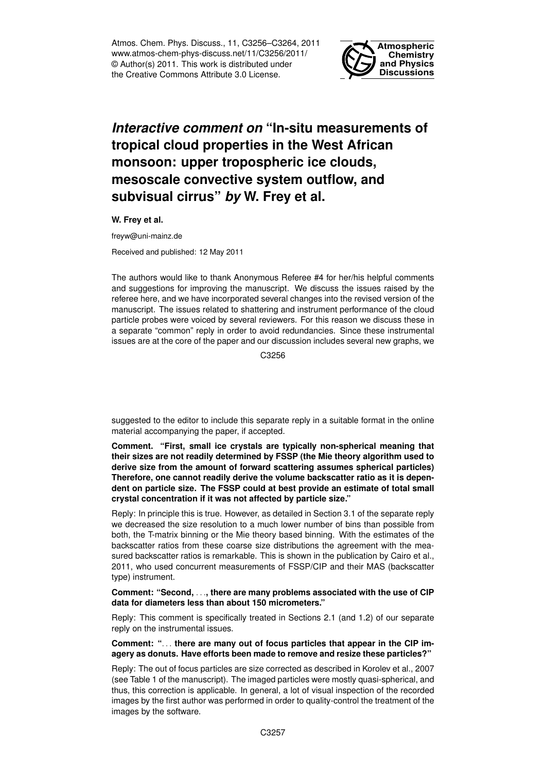Atmos. Chem. Phys. Discuss., 11, C3256–C3264, 2011 www.atmos-chem-phys-discuss.net/11/C3256/2011/ © Author(s) 2011. This work is distributed under the Creative Commons Attribute 3.0 License.



# *Interactive comment on* **"In-situ measurements of tropical cloud properties in the West African monsoon: upper tropospheric ice clouds, mesoscale convective system outflow, and subvisual cirrus"** *by* **W. Frey et al.**

**W. Frey et al.**

freyw@uni-mainz.de

Received and published: 12 May 2011

The authors would like to thank Anonymous Referee #4 for her/his helpful comments and suggestions for improving the manuscript. We discuss the issues raised by the referee here, and we have incorporated several changes into the revised version of the manuscript. The issues related to shattering and instrument performance of the cloud particle probes were voiced by several reviewers. For this reason we discuss these in a separate "common" reply in order to avoid redundancies. Since these instrumental issues are at the core of the paper and our discussion includes several new graphs, we

C3256

suggested to the editor to include this separate reply in a suitable format in the online material accompanying the paper, if accepted.

**Comment. "First, small ice crystals are typically non-spherical meaning that their sizes are not readily determined by FSSP (the Mie theory algorithm used to derive size from the amount of forward scattering assumes spherical particles) Therefore, one cannot readily derive the volume backscatter ratio as it is dependent on particle size. The FSSP could at best provide an estimate of total small crystal concentration if it was not affected by particle size."**

Reply: In principle this is true. However, as detailed in Section 3.1 of the separate reply we decreased the size resolution to a much lower number of bins than possible from both, the T-matrix binning or the Mie theory based binning. With the estimates of the backscatter ratios from these coarse size distributions the agreement with the measured backscatter ratios is remarkable. This is shown in the publication by Cairo et al., 2011, who used concurrent measurements of FSSP/CIP and their MAS (backscatter type) instrument.

## **Comment: "Second,** . . .**, there are many problems associated with the use of CIP data for diameters less than about 150 micrometers."**

Reply: This comment is specifically treated in Sections 2.1 (and 1.2) of our separate reply on the instrumental issues.

### **Comment: "**. . . **there are many out of focus particles that appear in the CIP imagery as donuts. Have efforts been made to remove and resize these particles?"**

Reply: The out of focus particles are size corrected as described in Korolev et al., 2007 (see Table 1 of the manuscript). The imaged particles were mostly quasi-spherical, and thus, this correction is applicable. In general, a lot of visual inspection of the recorded images by the first author was performed in order to quality-control the treatment of the images by the software.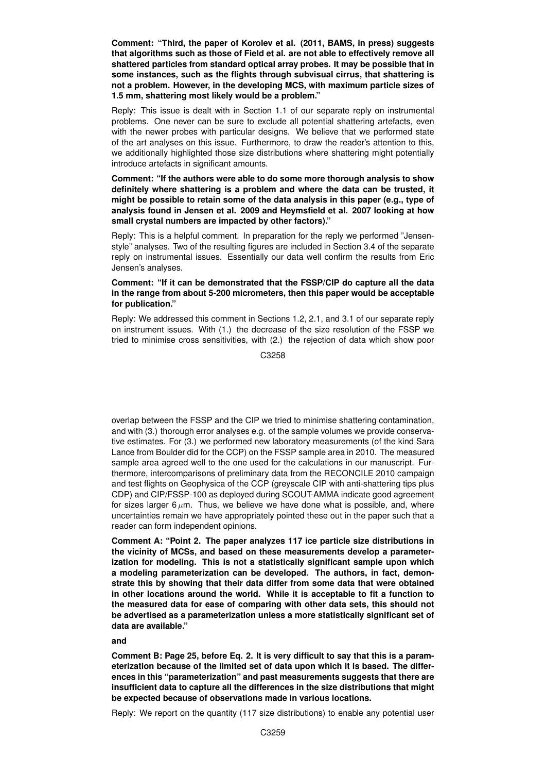**Comment: "Third, the paper of Korolev et al. (2011, BAMS, in press) suggests that algorithms such as those of Field et al. are not able to effectively remove all shattered particles from standard optical array probes. It may be possible that in some instances, such as the flights through subvisual cirrus, that shattering is not a problem. However, in the developing MCS, with maximum particle sizes of 1.5 mm, shattering most likely would be a problem."**

Reply: This issue is dealt with in Section 1.1 of our separate reply on instrumental problems. One never can be sure to exclude all potential shattering artefacts, even with the newer probes with particular designs. We believe that we performed state of the art analyses on this issue. Furthermore, to draw the reader's attention to this, we additionally highlighted those size distributions where shattering might potentially introduce artefacts in significant amounts.

**Comment: "If the authors were able to do some more thorough analysis to show definitely where shattering is a problem and where the data can be trusted, it might be possible to retain some of the data analysis in this paper (e.g., type of analysis found in Jensen et al. 2009 and Heymsfield et al. 2007 looking at how small crystal numbers are impacted by other factors)."**

Reply: This is a helpful comment. In preparation for the reply we performed "Jensenstyle" analyses. Two of the resulting figures are included in Section 3.4 of the separate reply on instrumental issues. Essentially our data well confirm the results from Eric Jensen's analyses.

## **Comment: "If it can be demonstrated that the FSSP/CIP do capture all the data in the range from about 5-200 micrometers, then this paper would be acceptable for publication."**

Reply: We addressed this comment in Sections 1.2, 2.1, and 3.1 of our separate reply on instrument issues. With (1.) the decrease of the size resolution of the FSSP we tried to minimise cross sensitivities, with (2.) the rejection of data which show poor

C3258

overlap between the FSSP and the CIP we tried to minimise shattering contamination, and with (3.) thorough error analyses e.g. of the sample volumes we provide conservative estimates. For (3.) we performed new laboratory measurements (of the kind Sara Lance from Boulder did for the CCP) on the FSSP sample area in 2010. The measured sample area agreed well to the one used for the calculations in our manuscript. Furthermore, intercomparisons of preliminary data from the RECONCILE 2010 campaign and test flights on Geophysica of the CCP (greyscale CIP with anti-shattering tips plus CDP) and CIP/FSSP-100 as deployed during SCOUT-AMMA indicate good agreement for sizes larger 6  $\mu$ m. Thus, we believe we have done what is possible, and, where uncertainties remain we have appropriately pointed these out in the paper such that a reader can form independent opinions.

**Comment A: "Point 2. The paper analyzes 117 ice particle size distributions in the vicinity of MCSs, and based on these measurements develop a parameterization for modeling. This is not a statistically significant sample upon which a modeling parameterization can be developed. The authors, in fact, demonstrate this by showing that their data differ from some data that were obtained in other locations around the world. While it is acceptable to fit a function to the measured data for ease of comparing with other data sets, this should not be advertised as a parameterization unless a more statistically significant set of data are available."**

### **and**

**Comment B: Page 25, before Eq. 2. It is very difficult to say that this is a parameterization because of the limited set of data upon which it is based. The differences in this "parameterization" and past measurements suggests that there are insufficient data to capture all the differences in the size distributions that might be expected because of observations made in various locations.**

Reply: We report on the quantity (117 size distributions) to enable any potential user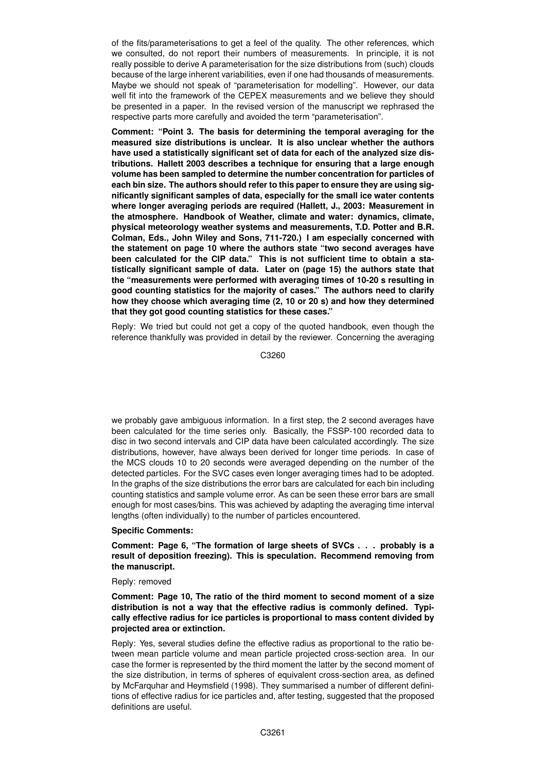of the fits/parameterisations to get a feel of the quality. The other references, which we consulted, do not report their numbers of measurements. In principle, it is not really possible to derive A parameterisation for the size distributions from (such) clouds because of the large inherent variabilities, even if one had thousands of measurements. Maybe we should not speak of "parameterisation for modelling". However, our data well fit into the framework of the CEPEX measurements and we believe they should be presented in a paper. In the revised version of the manuscript we rephrased the respective parts more carefully and avoided the term "parameterisation".

**Comment: "Point 3. The basis for determining the temporal averaging for the measured size distributions is unclear. It is also unclear whether the authors have used a statistically significant set of data for each of the analyzed size distributions. Hallett 2003 describes a technique for ensuring that a large enough volume has been sampled to determine the number concentration for particles of each bin size. The authors should refer to this paper to ensure they are using significantly significant samples of data, especially for the small ice water contents where longer averaging periods are required (Hallett, J., 2003: Measurement in the atmosphere. Handbook of Weather, climate and water: dynamics, climate, physical meteorology weather systems and measurements, T.D. Potter and B.R. Colman, Eds., John Wiley and Sons, 711-720.) I am especially concerned with the statement on page 10 where the authors state "two second averages have been calculated for the CIP data." This is not sufficient time to obtain a statistically significant sample of data. Later on (page 15) the authors state that the "measurements were performed with averaging times of 10-20 s resulting in good counting statistics for the majority of cases." The authors need to clarify how they choose which averaging time (2, 10 or 20 s) and how they determined that they got good counting statistics for these cases."**

Reply: We tried but could not get a copy of the quoted handbook, even though the reference thankfully was provided in detail by the reviewer. Concerning the averaging

C3260

we probably gave ambiguous information. In a first step, the 2 second averages have been calculated for the time series only. Basically, the FSSP-100 recorded data to disc in two second intervals and CIP data have been calculated accordingly. The size distributions, however, have always been derived for longer time periods. In case of the MCS clouds 10 to 20 seconds were averaged depending on the number of the detected particles. For the SVC cases even longer averaging times had to be adopted. In the graphs of the size distributions the error bars are calculated for each bin including counting statistics and sample volume error. As can be seen these error bars are small enough for most cases/bins. This was achieved by adapting the averaging time interval lengths (often individually) to the number of particles encountered.

### **Specific Comments:**

**Comment: Page 6, "The formation of large sheets of SVCs . . . probably is a result of deposition freezing). This is speculation. Recommend removing from the manuscript.**

#### Reply: removed

**Comment: Page 10, The ratio of the third moment to second moment of a size distribution is not a way that the effective radius is commonly defined. Typically effective radius for ice particles is proportional to mass content divided by projected area or extinction.**

Reply: Yes, several studies define the effective radius as proportional to the ratio between mean particle volume and mean particle projected cross-section area. In our case the former is represented by the third moment the latter by the second moment of the size distribution, in terms of spheres of equivalent cross-section area, as defined by McFarquhar and Heymsfield (1998). They summarised a number of different definitions of effective radius for ice particles and, after testing, suggested that the proposed definitions are useful.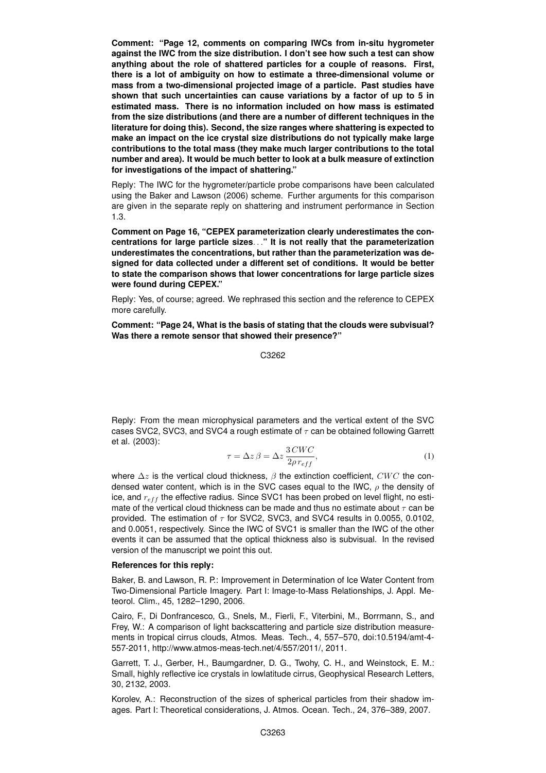**Comment: "Page 12, comments on comparing IWCs from in-situ hygrometer against the IWC from the size distribution. I don't see how such a test can show anything about the role of shattered particles for a couple of reasons. First, there is a lot of ambiguity on how to estimate a three-dimensional volume or mass from a two-dimensional projected image of a particle. Past studies have shown that such uncertainties can cause variations by a factor of up to 5 in estimated mass. There is no information included on how mass is estimated from the size distributions (and there are a number of different techniques in the literature for doing this). Second, the size ranges where shattering is expected to make an impact on the ice crystal size distributions do not typically make large contributions to the total mass (they make much larger contributions to the total number and area). It would be much better to look at a bulk measure of extinction for investigations of the impact of shattering."**

Reply: The IWC for the hygrometer/particle probe comparisons have been calculated using the Baker and Lawson (2006) scheme. Further arguments for this comparison are given in the separate reply on shattering and instrument performance in Section 1.3.

**Comment on Page 16, "CEPEX parameterization clearly underestimates the concentrations for large particle sizes**. . .**" It is not really that the parameterization underestimates the concentrations, but rather than the parameterization was designed for data collected under a different set of conditions. It would be better to state the comparison shows that lower concentrations for large particle sizes were found during CEPEX."**

Reply: Yes, of course; agreed. We rephrased this section and the reference to CEPEX more carefully.

**Comment: "Page 24, What is the basis of stating that the clouds were subvisual? Was there a remote sensor that showed their presence?"**

C3262

Reply: From the mean microphysical parameters and the vertical extent of the SVC cases SVC2, SVC3, and SVC4 a rough estimate of  $\tau$  can be obtained following Garrett et al. (2003):

$$
\tau = \Delta z \,\beta = \Delta z \, \frac{3 \, CWC}{2 \rho \, r_{eff}},\tag{1}
$$

where  $\Delta z$  is the vertical cloud thickness,  $\beta$  the extinction coefficient, CWC the condensed water content, which is in the SVC cases equal to the IWC,  $\rho$  the density of ice, and  $r_{eff}$  the effective radius. Since SVC1 has been probed on level flight, no estimate of the vertical cloud thickness can be made and thus no estimate about  $\tau$  can be provided. The estimation of  $\tau$  for SVC2, SVC3, and SVC4 results in 0.0055, 0.0102, and 0.0051, respectively. Since the IWC of SVC1 is smaller than the IWC of the other events it can be assumed that the optical thickness also is subvisual. In the revised version of the manuscript we point this out.

### **References for this reply:**

Baker, B. and Lawson, R. P.: Improvement in Determination of Ice Water Content from Two-Dimensional Particle Imagery. Part I: Image-to-Mass Relationships, J. Appl. Meteorol. Clim., 45, 1282–1290, 2006.

Cairo, F., Di Donfrancesco, G., Snels, M., Fierli, F., Viterbini, M., Borrmann, S., and Frey, W.: A comparison of light backscattering and particle size distribution measurements in tropical cirrus clouds, Atmos. Meas. Tech., 4, 557–570, doi:10.5194/amt-4- 557-2011, http://www.atmos-meas-tech.net/4/557/2011/, 2011.

Garrett, T. J., Gerber, H., Baumgardner, D. G., Twohy, C. H., and Weinstock, E. M.: Small, highly reflective ice crystals in lowlatitude cirrus, Geophysical Research Letters, 30, 2132, 2003.

Korolev, A.: Reconstruction of the sizes of spherical particles from their shadow images. Part I: Theoretical considerations, J. Atmos. Ocean. Tech., 24, 376–389, 2007.